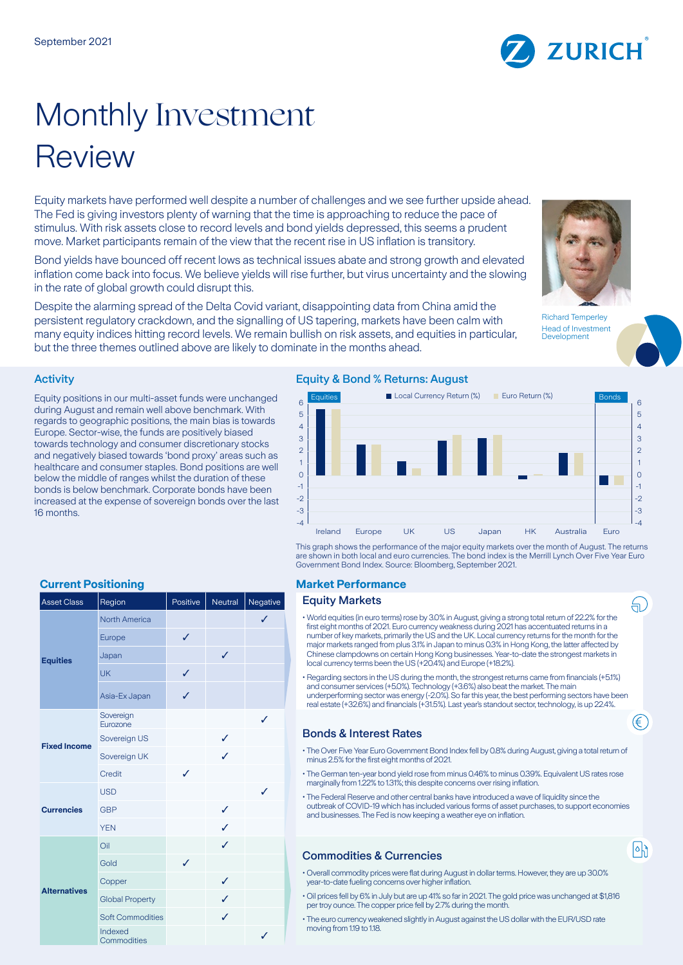# Monthly Investment Review

Equity markets have performed well despite a number of challenges and we see further upside ahead. The Fed is giving investors plenty of warning that the time is approaching to reduce the pace of stimulus. With risk assets close to record levels and bond yields depressed, this seems a prudent move. Market participants remain of the view that the recent rise in US inflation is transitory.

Bond yields have bounced off recent lows as technical issues abate and strong growth and elevated inflation come back into focus. We believe yields will rise further, but virus uncertainty and the slowing in the rate of global growth could disrupt this.

Despite the alarming spread of the Delta Covid variant, disappointing data from China amid the persistent regulatory crackdown, and the signalling of US tapering, markets have been calm with many equity indices hitting record levels. We remain bullish on risk assets, and equities in particular, but the three themes outlined above are likely to dominate in the months ahead.

Richard Temperley Head of Investment **Development** 

もじ

€

 $\lceil \circ \rceil$ 

# Activity

Equity positions in our multi-asset funds were unchanged during August and remain well above benchmark. With regards to geographic positions, the main bias is towards Europe. Sector-wise, the funds are positively biased towards technology and consumer discretionary stocks and negatively biased towards 'bond proxy' areas such as healthcare and consumer staples. Bond positions are well below the middle of ranges whilst the duration of these bonds is below benchmark. Corporate bonds have been increased at the expense of sovereign bonds over the last 16 months.

## Equity & Bond % Returns: August



This graph shows the performance of the major equity markets over the month of August. The returns are shown in both local and euro currencies. The bond index is the Merrill Lynch Over Five Year Euro Government Bond Index. Source: Bloomberg, September 2021.

#### **Equity Markets**

- World equities (in euro terms) rose by 3.0% in August, giving a strong total return of 22.2% for the first eight months of 2021. Euro currency weakness during 2021 has accentuated returns in a number of key markets, primarily the US and the UK. Local currency returns for the month for the major markets ranged from plus 3.1% in Japan to minus 0.3% in Hong Kong, the latter affected by Chinese clampdowns on certain Hong Kong businesses. Year-to-date the strongest markets in local currency terms been the US (+20.4%) and Europe (+18.2%).
- Regarding sectors in the US during the month, the strongest returns came from financials (+5.1%) and consumer services (+5.0%). Technology (+3.6%) also beat the market. The main underperforming sector was energy (-2.0%). So far this year, the best performing sectors have been real estate (+32.6%) and financials (+31.5%). Last year's standout sector, technology, is up 22.4%.

## Bonds & Interest Rates

- The Over Five Year Euro Government Bond Index fell by 0.8% during August, giving a total return of minus 2.5% for the first eight months of 2021.
- The German ten-year bond yield rose from minus 0.46% to minus 0.39%. Equivalent US rates rose marginally from 1.22% to 1.31%; this despite concerns over rising inflation.
- The Federal Reserve and other central banks have introduced a wave of liquidity since the outbreak of COVID-19 which has included various forms of asset purchases, to support economies and businesses. The Fed is now keeping a weather eye on inflation.

# Commodities & Currencies

- Overall commodity prices were flat during August in dollar terms. However, they are up 30.0% year-to-date fueling concerns over higher inflation.
- Oil prices fell by 6% in July but are up 41% so far in 2021. The gold price was unchanged at \$1,816 per troy ounce. The copper price fell by 2.7% during the month.
- The euro currency weakened slightly in August against the US dollar with the EUR/USD rate moving from 1.19 to 1.18.

# **Current Positioning Market Performance**

| <b>Asset Class</b>  | Region                  | Positive     |   | Neutral   Negative |
|---------------------|-------------------------|--------------|---|--------------------|
| <b>Equities</b>     | <b>North America</b>    |              |   | $\checkmark$       |
|                     | Europe                  | ✓            |   |                    |
|                     | Japan                   |              | ✓ |                    |
|                     | <b>UK</b>               | $\checkmark$ |   |                    |
|                     | Asia-Ex Japan           | J            |   |                    |
| <b>Fixed Income</b> | Sovereign<br>Eurozone   |              |   | ✓                  |
|                     | Sovereign US            |              | ✓ |                    |
|                     | Sovereign UK            |              | J |                    |
|                     | Credit                  | J            |   |                    |
| <b>Currencies</b>   | <b>USD</b>              |              |   | J                  |
|                     | <b>GBP</b>              |              | ✓ |                    |
|                     | <b>YEN</b>              |              | ✓ |                    |
| <b>Alternatives</b> | Oil                     |              | ✓ |                    |
|                     | Gold                    | ✓            |   |                    |
|                     | Copper                  |              | ✓ |                    |
|                     | <b>Global Property</b>  |              | ✓ |                    |
|                     | <b>Soft Commodities</b> |              | ✓ |                    |
|                     | Indexed<br>Commodities  |              |   | ✓                  |

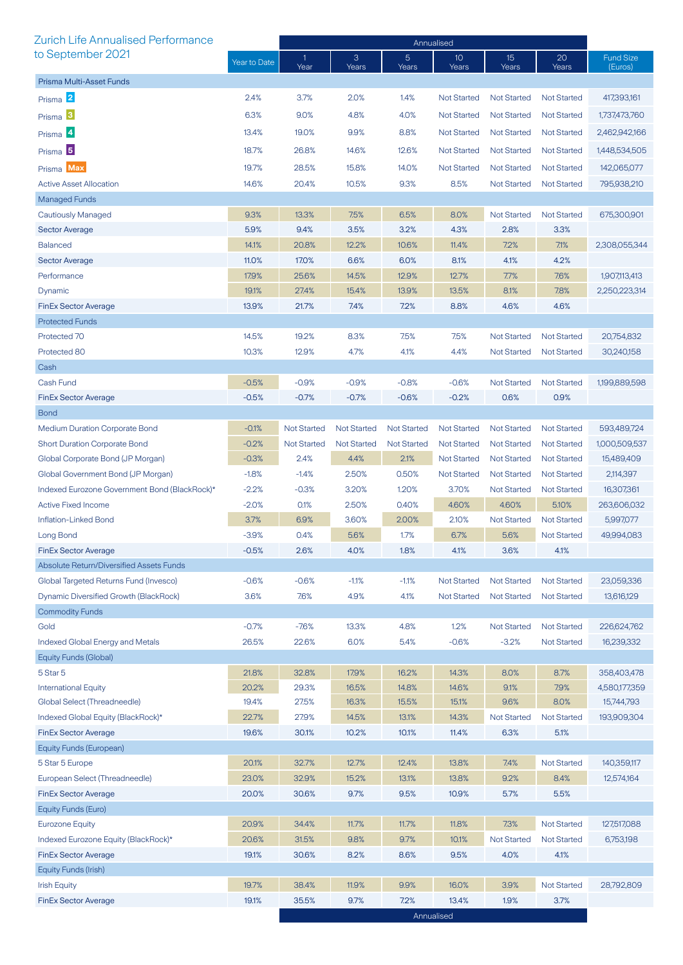| <b>Zurich Life Annualised Performance</b>     |              | Annualised         |                    |                         |                          |                    |                    |                             |
|-----------------------------------------------|--------------|--------------------|--------------------|-------------------------|--------------------------|--------------------|--------------------|-----------------------------|
| to September 2021                             | Year to Date | 1<br>Year          | 3<br>Years         | $\overline{5}$<br>Years | 10 <sup>°</sup><br>Years | 15<br>Years        | 20<br>Years        | <b>Fund Size</b><br>(Euros) |
| Prisma Multi-Asset Funds                      |              |                    |                    |                         |                          |                    |                    |                             |
| Prisma 2                                      | 2.4%         | 3.7%               | 2.0%               | 1.4%                    | <b>Not Started</b>       | <b>Not Started</b> | <b>Not Started</b> | 417,393,161                 |
| Prisma <sup>3</sup>                           | 6.3%         | 9.0%               | 4.8%               | 4.0%                    | <b>Not Started</b>       | Not Started        | <b>Not Started</b> | 1,737,473,760               |
| Prisma <sup>4</sup>                           | 13.4%        | 19.0%              | 9.9%               | 8.8%                    | <b>Not Started</b>       | <b>Not Started</b> | <b>Not Started</b> | 2,462,942,166               |
|                                               | 18.7%        | 26.8%              | 14.6%              | 12.6%                   | <b>Not Started</b>       | <b>Not Started</b> | <b>Not Started</b> | 1,448,534,505               |
| Prisma <sup>5</sup>                           |              |                    |                    |                         |                          |                    |                    |                             |
| Prisma Max                                    | 19.7%        | 28.5%              | 15.8%              | 14.0%                   | <b>Not Started</b>       | <b>Not Started</b> | <b>Not Started</b> | 142,065,077                 |
| <b>Active Asset Allocation</b>                | 14.6%        | 20.4%              | 10.5%              | 9.3%                    | 8.5%                     | <b>Not Started</b> | <b>Not Started</b> | 795,938,210                 |
| <b>Managed Funds</b>                          |              |                    |                    |                         |                          |                    |                    |                             |
| <b>Cautiously Managed</b>                     | 9.3%         | 13.3%              | 7.5%               | 6.5%                    | 8.0%                     | <b>Not Started</b> | <b>Not Started</b> | 675,300,901                 |
| <b>Sector Average</b>                         | 5.9%         | 9.4%               | 3.5%               | 3.2%                    | 4.3%                     | 2.8%               | 3.3%               |                             |
| <b>Balanced</b>                               | 14.1%        | 20.8%              | 12.2%              | 10.6%                   | 11.4%                    | 7.2%               | 7.1%               | 2,308,055,344               |
| <b>Sector Average</b>                         | 11.0%        | 17.0%              | 6.6%               | 6.0%                    | 8.1%                     | 4.1%               | 4.2%               |                             |
| Performance                                   | 17.9%        | 25.6%              | 14.5%              | 12.9%                   | 12.7%                    | 7.7%               | 7.6%               | 1,907,113,413               |
| Dynamic                                       | 19.1%        | 27.4%              | 15.4%              | 13.9%                   | 13.5%                    | 8.1%               | 7.8%               | 2,250,223,314               |
| <b>FinEx Sector Average</b>                   | 13.9%        | 21.7%              | 7.4%               | 7.2%                    | 8.8%                     | 4.6%               | 4.6%               |                             |
| <b>Protected Funds</b>                        |              |                    |                    |                         |                          |                    |                    |                             |
| Protected 70                                  | 14.5%        | 19.2%              | 8.3%               | 7.5%                    | 7.5%                     | <b>Not Started</b> | <b>Not Started</b> | 20,754,832                  |
| Protected 80                                  | 10.3%        | 12.9%              | 4.7%               | 4.1%                    | 4.4%                     | <b>Not Started</b> | <b>Not Started</b> | 30,240,158                  |
| Cash                                          |              |                    |                    |                         |                          |                    |                    |                             |
| Cash Fund                                     | $-0.5%$      | $-0.9%$            | $-0.9%$            | $-0.8%$                 | $-0.6%$                  | <b>Not Started</b> | <b>Not Started</b> | 1,199,889,598               |
| <b>FinEx Sector Average</b>                   | $-0.5%$      | $-0.7%$            | $-0.7%$            | $-0.6%$                 | $-0.2%$                  | 0.6%               | 0.9%               |                             |
| <b>Bond</b>                                   |              |                    |                    |                         |                          |                    |                    |                             |
| <b>Medium Duration Corporate Bond</b>         | $-0.1%$      | <b>Not Started</b> | <b>Not Started</b> | <b>Not Started</b>      | <b>Not Started</b>       | <b>Not Started</b> | <b>Not Started</b> | 593,489,724                 |
| <b>Short Duration Corporate Bond</b>          | $-0.2%$      | <b>Not Started</b> | <b>Not Started</b> | <b>Not Started</b>      | <b>Not Started</b>       | <b>Not Started</b> | <b>Not Started</b> | 1,000,509,537               |
| Global Corporate Bond (JP Morgan)             | $-0.3%$      | 2.4%               | 4.4%               | 2.1%                    | <b>Not Started</b>       | <b>Not Started</b> | <b>Not Started</b> | 15,489,409                  |
| Global Government Bond (JP Morgan)            | $-1.8%$      | $-1.4%$            | 2.50%              | 0.50%                   | <b>Not Started</b>       | <b>Not Started</b> | <b>Not Started</b> | 2,114,397                   |
| Indexed Eurozone Government Bond (BlackRock)* | $-2.2%$      | $-0.3%$            | 3.20%              | 1.20%                   | 3.70%                    | <b>Not Started</b> | <b>Not Started</b> | 16,307,361                  |
| <b>Active Fixed Income</b>                    | $-2.0%$      | 0.1%               | 2.50%              | 0.40%                   | 4.60%                    | 4.60%              | 5.10%              | 263,606,032                 |
| Inflation-Linked Bond                         | 3.7%         | 6.9%               | 3.60%              | 2.00%                   | 2.10%                    | <b>Not Started</b> | <b>Not Started</b> | 5,997,077                   |
| Long Bond                                     | $-3.9%$      | 0.4%               | 5.6%               | 1.7%                    | 6.7%                     | 5.6%               | <b>Not Started</b> | 49,994,083                  |
| <b>FinEx Sector Average</b>                   | $-0.5%$      | 2.6%               | 4.0%               | 1.8%                    | 4.1%                     | 3.6%               | 4.1%               |                             |
| Absolute Return/Diversified Assets Funds      |              |                    |                    |                         |                          |                    |                    |                             |
| Global Targeted Returns Fund (Invesco)        | $-0.6%$      | $-0.6%$            | $-1.1%$            | $-1.1%$                 | <b>Not Started</b>       | <b>Not Started</b> | <b>Not Started</b> | 23,059,336                  |
| Dynamic Diversified Growth (BlackRock)        | 3.6%         | 7.6%               | 4.9%               | 4.1%                    | <b>Not Started</b>       | <b>Not Started</b> | <b>Not Started</b> | 13,616,129                  |
| <b>Commodity Funds</b>                        |              |                    |                    |                         |                          |                    |                    |                             |
| Gold                                          | $-0.7%$      | $-7.6%$            | 13.3%              | 4.8%                    | 1.2%                     | Not Started        | <b>Not Started</b> | 226,624,762                 |
| <b>Indexed Global Energy and Metals</b>       | 26.5%        | 22.6%              | 6.0%               | 5.4%                    | $-0.6%$                  | $-3.2%$            | <b>Not Started</b> | 16,239,332                  |
| Equity Funds (Global)                         |              |                    |                    |                         |                          |                    |                    |                             |
| 5 Star 5                                      | 21.8%        | 32.8%              | 17.9%              | 16.2%                   | 14.3%                    | 8.0%               | 8.7%               | 358,403,478                 |
| <b>International Equity</b>                   | 20.2%        | 29.3%              | 16.5%              | 14.8%                   | 14.6%                    | 9.1%               | 7.9%               | 4,580,177,359               |
| Global Select (Threadneedle)                  | 19.4%        | 27.5%              | 16.3%              | 15.5%                   | 15.1%                    | 9.6%               | 8.0%               | 15,744,793                  |
| Indexed Global Equity (BlackRock)*            | 22.7%        | 27.9%              | 14.5%              | 13.1%                   | 14.3%                    | <b>Not Started</b> | <b>Not Started</b> | 193,909,304                 |
| <b>FinEx Sector Average</b>                   | 19.6%        | 30.1%              | 10.2%              | 10.1%                   | 11.4%                    | 6.3%               | 5.1%               |                             |
| Equity Funds (European)                       |              |                    |                    |                         |                          |                    |                    |                             |
| 5 Star 5 Europe                               | 20.1%        | 32.7%              | 12.7%              | 12.4%                   | 13.8%                    | 7.4%               | <b>Not Started</b> | 140,359,117                 |
| European Select (Threadneedle)                | 23.0%        | 32.9%              | 15.2%              | 13.1%                   | 13.8%                    | 9.2%               | 8.4%               | 12,574,164                  |
| <b>FinEx Sector Average</b>                   | 20.0%        | 30.6%              | 9.7%               | 9.5%                    | 10.9%                    | 5.7%               | 5.5%               |                             |
| Equity Funds (Euro)                           |              |                    |                    |                         |                          |                    |                    |                             |
| <b>Eurozone Equity</b>                        | 20.9%        | 34.4%              | 11.7%              | 11.7%                   | 11.8%                    | 7.3%               | Not Started        | 127,517,088                 |
| Indexed Eurozone Equity (BlackRock)*          | 20.6%        | 31.5%              | 9.8%               | 9.7%                    | 10.1%                    | <b>Not Started</b> | <b>Not Started</b> | 6,753,198                   |
| <b>FinEx Sector Average</b>                   | 19.1%        | 30.6%              | 8.2%               | 8.6%                    | 9.5%                     | 4.0%               | 4.1%               |                             |
| Equity Funds (Irish)                          |              |                    |                    |                         |                          |                    |                    |                             |
| <b>Irish Equity</b>                           | 19.7%        | 38.4%              | 11.9%              | 9.9%                    | 16.0%                    | 3.9%               | <b>Not Started</b> | 28,792,809                  |
| <b>FinEx Sector Average</b>                   | 19.1%        | 35.5%              | 9.7%               | 7.2%                    | 13.4%                    | 1.9%               | 3.7%               |                             |
|                                               |              |                    |                    |                         | Annualised               |                    |                    |                             |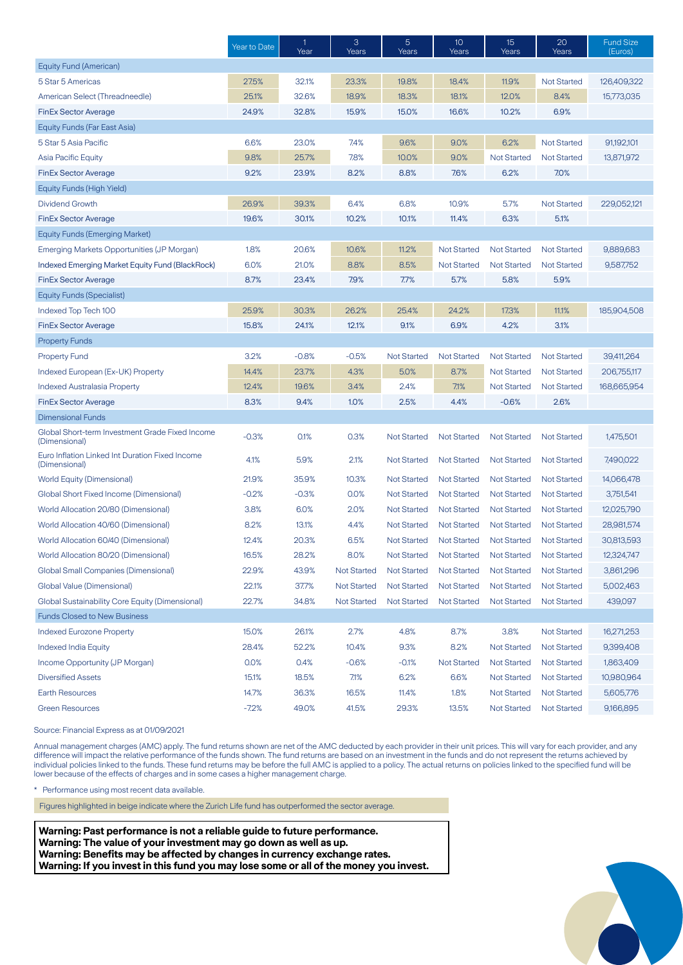|                                                                  | Year to Date | $\mathbf{1}$<br>Year | 3<br>Years         | 5<br>Years         | 10<br>Years        | 15<br>Years        | 20<br>Years        | <b>Fund Size</b><br>(Euros) |
|------------------------------------------------------------------|--------------|----------------------|--------------------|--------------------|--------------------|--------------------|--------------------|-----------------------------|
| Equity Fund (American)                                           |              |                      |                    |                    |                    |                    |                    |                             |
| 5 Star 5 Americas                                                | 27.5%        | 32.1%                | 23.3%              | 19.8%              | 18.4%              | 11.9%              | <b>Not Started</b> | 126,409,322                 |
| American Select (Threadneedle)                                   | 25.1%        | 32.6%                | 18.9%              | 18.3%              | 18.1%              | 12.0%              | 8.4%               | 15,773,035                  |
| <b>FinEx Sector Average</b>                                      | 24.9%        | 32.8%                | 15.9%              | 15.0%              | 16.6%              | 10.2%              | 6.9%               |                             |
| Equity Funds (Far East Asia)                                     |              |                      |                    |                    |                    |                    |                    |                             |
| 5 Star 5 Asia Pacific                                            | 6.6%         | 23.0%                | 7.4%               | 9.6%               | 9.0%               | 6.2%               | <b>Not Started</b> | 91,192,101                  |
| <b>Asia Pacific Equity</b>                                       | 9.8%         | 25.7%                | 7.8%               | 10.0%              | 9.0%               | <b>Not Started</b> | <b>Not Started</b> | 13,871,972                  |
| <b>FinEx Sector Average</b>                                      | 9.2%         | 23.9%                | 8.2%               | 8.8%               | 7.6%               | 6.2%               | 7.0%               |                             |
| Equity Funds (High Yield)                                        |              |                      |                    |                    |                    |                    |                    |                             |
| <b>Dividend Growth</b>                                           | 26.9%        | 39.3%                | 6.4%               | 6.8%               | 10.9%              | 5.7%               | <b>Not Started</b> | 229,052,121                 |
| <b>FinEx Sector Average</b>                                      | 19.6%        | 30.1%                | 10.2%              | 10.1%              | 11.4%              | 6.3%               | 5.1%               |                             |
| <b>Equity Funds (Emerging Market)</b>                            |              |                      |                    |                    |                    |                    |                    |                             |
| Emerging Markets Opportunities (JP Morgan)                       | 1.8%         | 20.6%                | 10.6%              | 11.2%              | <b>Not Started</b> | <b>Not Started</b> | <b>Not Started</b> | 9,889,683                   |
| Indexed Emerging Market Equity Fund (BlackRock)                  | 6.0%         | 21.0%                | 8.8%               | 8.5%               | <b>Not Started</b> | <b>Not Started</b> | <b>Not Started</b> | 9,587,752                   |
| <b>FinEx Sector Average</b>                                      | 8.7%         | 23.4%                | 7.9%               | 7.7%               | 5.7%               | 5.8%               | 5.9%               |                             |
| <b>Equity Funds (Specialist)</b>                                 |              |                      |                    |                    |                    |                    |                    |                             |
| Indexed Top Tech 100                                             | 25.9%        | 30.3%                | 26.2%              | 25.4%              | 24.2%              | 17.3%              | 11.1%              | 185,904,508                 |
| <b>FinEx Sector Average</b>                                      | 15.8%        | 24.1%                | 12.1%              | 9.1%               | 6.9%               | 4.2%               | 3.1%               |                             |
| <b>Property Funds</b>                                            |              |                      |                    |                    |                    |                    |                    |                             |
| <b>Property Fund</b>                                             | 3.2%         | $-0.8%$              | $-0.5%$            | <b>Not Started</b> | <b>Not Started</b> | <b>Not Started</b> | <b>Not Started</b> | 39,411,264                  |
| Indexed European (Ex-UK) Property                                | 14.4%        | 23.7%                | 4.3%               | 5.0%               | 8.7%               | <b>Not Started</b> | <b>Not Started</b> | 206,755,117                 |
| <b>Indexed Australasia Property</b>                              | 12.4%        | 19.6%                | 3.4%               | 2.4%               | 7.1%               | <b>Not Started</b> | <b>Not Started</b> | 168,665,954                 |
| <b>FinEx Sector Average</b>                                      | 8.3%         | 9.4%                 | 1.0%               | 2.5%               | 4.4%               | $-0.6%$            | 2.6%               |                             |
| <b>Dimensional Funds</b>                                         |              |                      |                    |                    |                    |                    |                    |                             |
| Global Short-term Investment Grade Fixed Income<br>(Dimensional) | $-0.3%$      | 0.1%                 | 0.3%               | <b>Not Started</b> | <b>Not Started</b> | <b>Not Started</b> | <b>Not Started</b> | 1,475,501                   |
| Euro Inflation Linked Int Duration Fixed Income<br>(Dimensional) | 4.1%         | 5.9%                 | 2.1%               | <b>Not Started</b> | <b>Not Started</b> | <b>Not Started</b> | <b>Not Started</b> | 7,490,022                   |
| World Equity (Dimensional)                                       | 21.9%        | 35.9%                | 10.3%              | <b>Not Started</b> | <b>Not Started</b> | <b>Not Started</b> | <b>Not Started</b> | 14,066,478                  |
| Global Short Fixed Income (Dimensional)                          | $-0.2%$      | $-0.3%$              | 0.0%               | <b>Not Started</b> | <b>Not Started</b> | <b>Not Started</b> | <b>Not Started</b> | 3,751,541                   |
| World Allocation 20/80 (Dimensional)                             | 3.8%         | 6.0%                 | 2.0%               | <b>Not Started</b> | <b>Not Started</b> | <b>Not Started</b> | <b>Not Started</b> | 12,025,790                  |
| World Allocation 40/60 (Dimensional)                             | 8.2%         | 13.1%                | 4.4%               | <b>Not Started</b> | <b>Not Started</b> | <b>Not Started</b> | <b>Not Started</b> | 28,981,574                  |
| World Allocation 60/40 (Dimensional)                             | 12.4%        | 20.3%                | 6.5%               | <b>Not Started</b> | <b>Not Started</b> | <b>Not Started</b> | <b>Not Started</b> | 30,813,593                  |
| World Allocation 80/20 (Dimensional)                             | 16.5%        | 28.2%                | 8.0%               | <b>Not Started</b> | Not Started        | Not Started        | <b>Not Started</b> | 12,324,747                  |
| <b>Global Small Companies (Dimensional)</b>                      | 22.9%        | 43.9%                | <b>Not Started</b> | <b>Not Started</b> | <b>Not Started</b> | <b>Not Started</b> | <b>Not Started</b> | 3,861,296                   |
| Global Value (Dimensional)                                       | 22.1%        | 37.7%                | <b>Not Started</b> | <b>Not Started</b> | <b>Not Started</b> | <b>Not Started</b> | <b>Not Started</b> | 5,002,463                   |
| Global Sustainability Core Equity (Dimensional)                  | 22.7%        | 34.8%                | <b>Not Started</b> | <b>Not Started</b> | <b>Not Started</b> | <b>Not Started</b> | <b>Not Started</b> | 439,097                     |
| <b>Funds Closed to New Business</b>                              |              |                      |                    |                    |                    |                    |                    |                             |
| <b>Indexed Eurozone Property</b>                                 | 15.0%        | 26.1%                | 2.7%               | 4.8%               | 8.7%               | 3.8%               | <b>Not Started</b> | 16,271,253                  |
| <b>Indexed India Equity</b>                                      | 28.4%        | 52.2%                | 10.4%              | 9.3%               | 8.2%               | <b>Not Started</b> | <b>Not Started</b> | 9,399,408                   |
| Income Opportunity (JP Morgan)                                   | 0.0%         | 0.4%                 | $-0.6%$            | $-0.1%$            | <b>Not Started</b> | <b>Not Started</b> | <b>Not Started</b> | 1,863,409                   |
| <b>Diversified Assets</b>                                        | 15.1%        | 18.5%                | 7.1%               | 6.2%               | 6.6%               | <b>Not Started</b> | <b>Not Started</b> | 10,980,964                  |
| <b>Earth Resources</b>                                           | 14.7%        | 36.3%                | 16.5%              | 11.4%              | 1.8%               | <b>Not Started</b> | <b>Not Started</b> | 5,605,776                   |
| <b>Green Resources</b>                                           | $-7.2%$      | 49.0%                | 41.5%              | 29.3%              | 13.5%              | <b>Not Started</b> | <b>Not Started</b> | 9,166,895                   |

Source: Financial Express as at 01/09/2021

Annual management charges (AMC) apply. The fund returns shown are net of the AMC deducted by each provider in their unit prices. This will vary for each provider, and any difference will impact the relative performance of the funds shown. The fund returns are based on an investment in the funds and do not represent the returns achieved by individual policies linked to the funds. These fund returns may be before the full AMC is applied to a policy. The actual returns on policies linked to the specified fund will be lower because of the effects of charges and in some cases a higher management charge.

\* Performance using most recent data available.

Figures highlighted in beige indicate where the Zurich Life fund has outperformed the sector average.

**Warning: Past performance is not a reliable guide to future performance. Warning: The value of your investment may go down as well as up. Warning: Benefits may be affected by changes in currency exchange rates. Warning: If you invest in this fund you may lose some or all of the money you invest.**